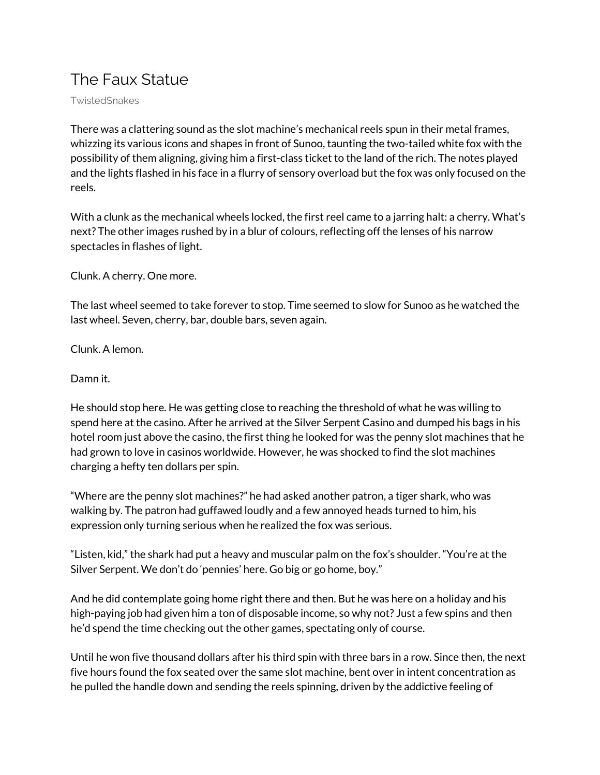## The Faux Statue

TwistedSnakes

There was a clattering sound as the slot machine's mechanical reels spun in their metal frames, whizzing its various icons and shapes in front of Sunoo, taunting the two-tailed white fox with the possibility of them aligning, giving him a first-class ticket to the land of the rich. The notes played and the lights flashed in his face in a flurry of sensory overload but the fox was only focused on the reels.

With a clunk as the mechanical wheels locked, the first reel came to a jarring halt: a cherry. What's next? The other images rushed by in a blur of colours, reflecting off the lenses of his narrow spectacles in flashes of light.

Clunk. A cherry. One more.

The last wheel seemed to take forever to stop. Time seemed to slow for Sunoo as he watched the last wheel. Seven, cherry, bar, double bars, seven again.

Clunk. A lemon.

Damn it.

He should stop here. He was getting close to reaching the threshold of what he was willing to spend here at the casino. After he arrived at the Silver Serpent Casino and dumped his bags in his hotel room just above the casino, the first thing he looked for was the penny slot machines that he had grown to love in casinos worldwide. However, he was shocked to find the slot machines charging a hefty ten dollars per spin.

"Where are the penny slot machines?" he had asked another patron, a tiger shark, who was walking by. The patron had guffawed loudly and a few annoyed heads turned to him, his expression only turning serious when he realized the fox was serious.

"Listen, kid," the shark had put a heavy and muscular palm on the fox's shoulder. "You're at the Silver Serpent. We don't do 'pennies' here. Go big or go home, boy."

And he did contemplate going home right there and then. But he was here on a holiday and his high-paying job had given him a ton of disposable income, so why not? Just a few spins and then he'd spend the time checking out the other games, spectating only of course.

Until he won five thousand dollars after his third spin with three bars in a row. Since then, the next five hours found the fox seated over the same slot machine, bent over in intent concentration as he pulled the handle down and sending the reels spinning, driven by the addictive feeling of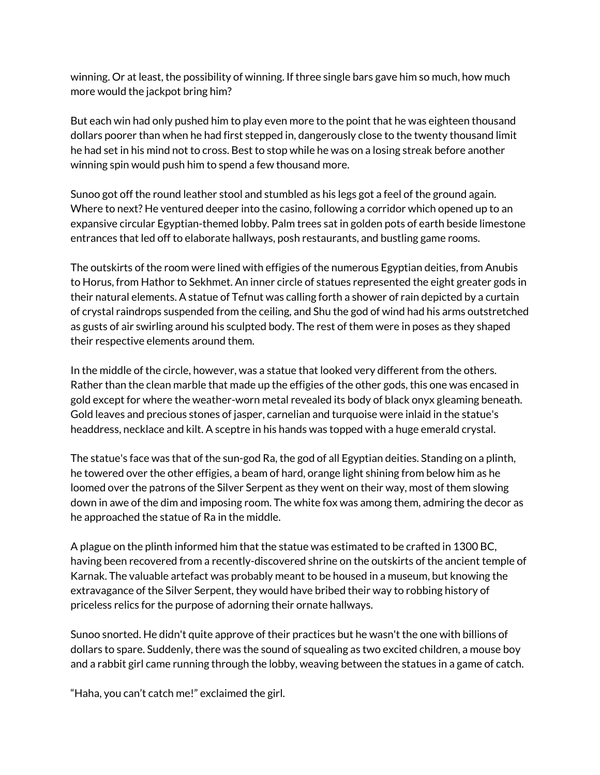winning. Or at least, the possibility of winning. If three single bars gave him so much, how much more would the jackpot bring him?

But each win had only pushed him to play even more to the point that he was eighteen thousand dollars poorer than when he had first stepped in, dangerously close to the twenty thousand limit he had set in his mind not to cross. Best to stop while he was on a losing streak before another winning spin would push him to spend a few thousand more.

Sunoo got off the round leather stool and stumbled as his legs got a feel of the ground again. Where to next? He ventured deeper into the casino, following a corridor which opened up to an expansive circular Egyptian-themed lobby. Palm trees sat in golden pots of earth beside limestone entrances that led off to elaborate hallways, posh restaurants, and bustling game rooms.

The outskirts of the room were lined with effigies of the numerous Egyptian deities, from Anubis to Horus, from Hathor to Sekhmet. An inner circle of statues represented the eight greater gods in their natural elements. A statue of Tefnut was calling forth a shower of rain depicted by a curtain of crystal raindrops suspended from the ceiling, and Shu the god of wind had his arms outstretched as gusts of air swirling around his sculpted body. The rest of them were in poses as they shaped their respective elements around them.

In the middle of the circle, however, was a statue that looked very different from the others. Rather than the clean marble that made up the effigies of the other gods, this one was encased in gold except for where the weather-worn metal revealed its body of black onyx gleaming beneath. Gold leaves and precious stones of jasper, carnelian and turquoise were inlaid in the statue's headdress, necklace and kilt. A sceptre in his hands was topped with a huge emerald crystal.

The statue's face was that of the sun-god Ra, the god of all Egyptian deities. Standing on a plinth, he towered over the other effigies, a beam of hard, orange light shining from below him as he loomed over the patrons of the Silver Serpent as they went on their way, most of them slowing down in awe of the dim and imposing room. The white fox was among them, admiring the decor as he approached the statue of Ra in the middle.

A plague on the plinth informed him that the statue was estimated to be crafted in 1300 BC, having been recovered from a recently-discovered shrine on the outskirts of the ancient temple of Karnak. The valuable artefact was probably meant to be housed in a museum, but knowing the extravagance of the Silver Serpent, they would have bribed their way to robbing history of priceless relics for the purpose of adorning their ornate hallways.

Sunoo snorted. He didn't quite approve of their practices but he wasn't the one with billions of dollars to spare. Suddenly, there was the sound of squealing as two excited children, a mouse boy and a rabbit girl came running through the lobby, weaving between the statues in a game of catch.

"Haha, you can't catch me!" exclaimed the girl.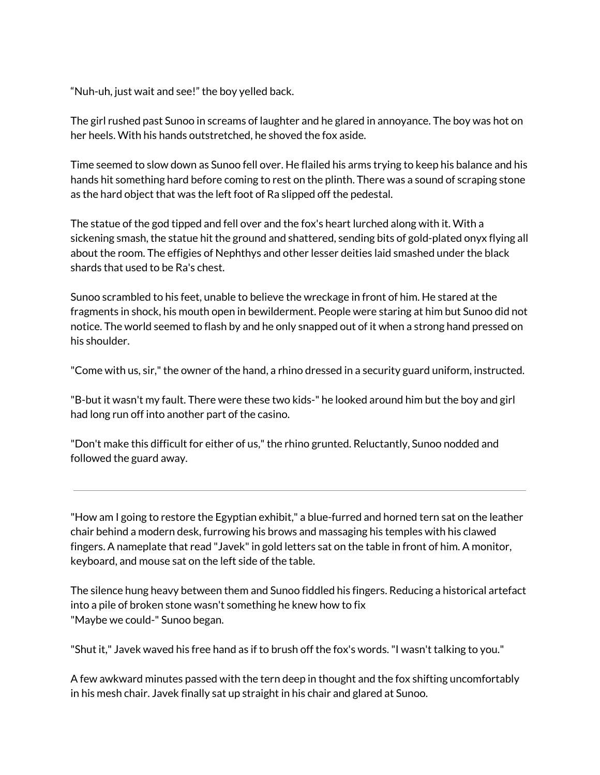"Nuh-uh, just wait and see!" the boy yelled back.

The girl rushed past Sunoo in screams of laughter and he glared in annoyance. The boy was hot on her heels. With his hands outstretched, he shoved the fox aside.

Time seemed to slow down as Sunoo fell over. He flailed his arms trying to keep his balance and his hands hit something hard before coming to rest on the plinth. There was a sound of scraping stone as the hard object that was the left foot of Ra slipped off the pedestal.

The statue of the god tipped and fell over and the fox's heart lurched along with it. With a sickening smash, the statue hit the ground and shattered, sending bits of gold-plated onyx flying all about the room. The effigies of Nephthys and other lesser deities laid smashed under the black shards that used to be Ra's chest.

Sunoo scrambled to his feet, unable to believe the wreckage in front of him. He stared at the fragments in shock, his mouth open in bewilderment. People were staring at him but Sunoo did not notice. The world seemed to flash by and he only snapped out of it when a strong hand pressed on his shoulder.

"Come with us, sir," the owner of the hand, a rhino dressed in a security guard uniform, instructed.

"B-but it wasn't my fault. There were these two kids-" he looked around him but the boy and girl had long run off into another part of the casino.

"Don't make this difficult for either of us,"the rhino grunted. Reluctantly, Sunoo nodded and followed the guard away.

"How am I going to restore the Egyptian exhibit," a blue-furred and horned tern sat on the leather chair behind a modern desk, furrowing his brows and massaging his temples with his clawed fingers. A nameplate that read "Javek" in gold letters sat on the table in front of him. A monitor, keyboard, and mouse sat on the left side of the table.

The silence hung heavy between them and Sunoo fiddled his fingers. Reducing a historical artefact into a pile of broken stone wasn't something he knew how to fix "Maybe we could-" Sunoo began.

"Shut it," Javek waved his free hand as if to brush off the fox's words."I wasn't talking to you."

A few awkward minutes passed with the tern deep in thought and the fox shifting uncomfortably in his mesh chair. Javek finally sat up straight in his chair and glared at Sunoo.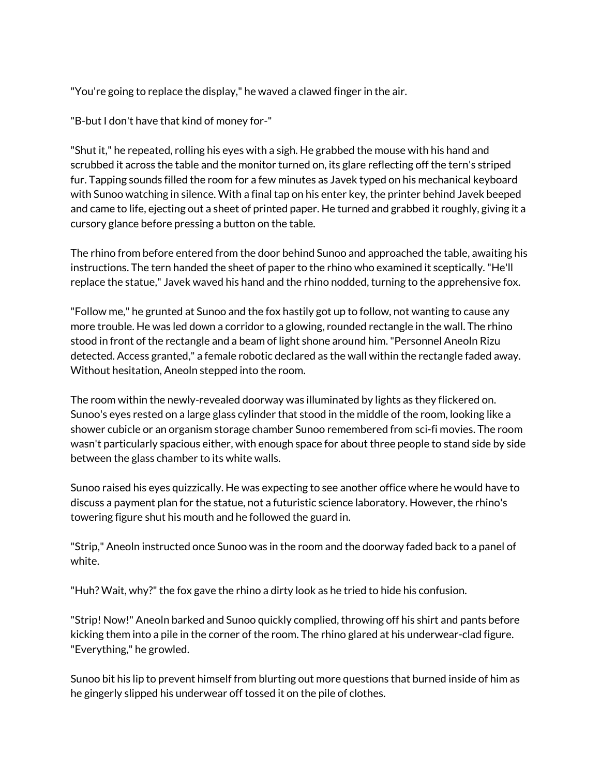"You're going to replace the display," he waved a clawed finger in the air.

"B-but I don't have that kind of money for-"

"Shut it," he repeated, rolling his eyes with a sigh. He grabbed the mouse with his hand and scrubbed it across the table and the monitor turned on, its glare reflecting off the tern's striped fur. Tapping sounds filled the room for a few minutes as Javek typed on his mechanical keyboard with Sunoo watching in silence. With a final tap on his enter key, the printer behind Javek beeped and came to life, ejecting out a sheet of printed paper. He turned and grabbed it roughly, giving it a cursory glance before pressing a button on the table.

The rhino from before entered from the door behind Sunoo and approached the table, awaiting his instructions. The tern handed the sheet of paper to the rhino who examined it sceptically."He'll replace the statue," Javek waved his hand and the rhino nodded, turning to the apprehensive fox.

"Follow me," he grunted at Sunoo and the fox hastily got up to follow, not wanting to cause any more trouble. He was led down a corridor to a glowing, rounded rectangle in the wall. The rhino stood in front of the rectangle and a beam of light shone around him."Personnel Aneoln Rizu detected. Access granted," a female robotic declared as the wall within the rectangle faded away. Without hesitation, Aneoln stepped into the room.

The room within the newly-revealed doorway was illuminated by lights as they flickered on. Sunoo's eyes rested on a large glass cylinder that stood in the middle of the room, looking like a shower cubicle or an organism storage chamber Sunoo remembered from sci-fi movies. The room wasn't particularly spacious either, with enough space for about three people to stand side by side between the glass chamber to its white walls.

Sunoo raised his eyes quizzically. He was expecting to see another office where he would have to discuss a payment plan for the statue, not a futuristic science laboratory. However, the rhino's towering figure shut his mouth and he followed the guard in.

"Strip," Aneoln instructed once Sunoo was in the room and the doorway faded back to a panel of white.

"Huh? Wait, why?" the fox gave the rhino a dirty look as he tried to hide his confusion.

"Strip! Now!" Aneoln barked and Sunoo quickly complied, throwing off his shirt and pants before kicking them into a pile in the corner of the room. The rhino glared at his underwear-clad figure. "Everything," he growled.

Sunoo bit his lip to prevent himself from blurting out more questions that burned inside of him as he gingerly slipped his underwear off tossed it on the pile of clothes.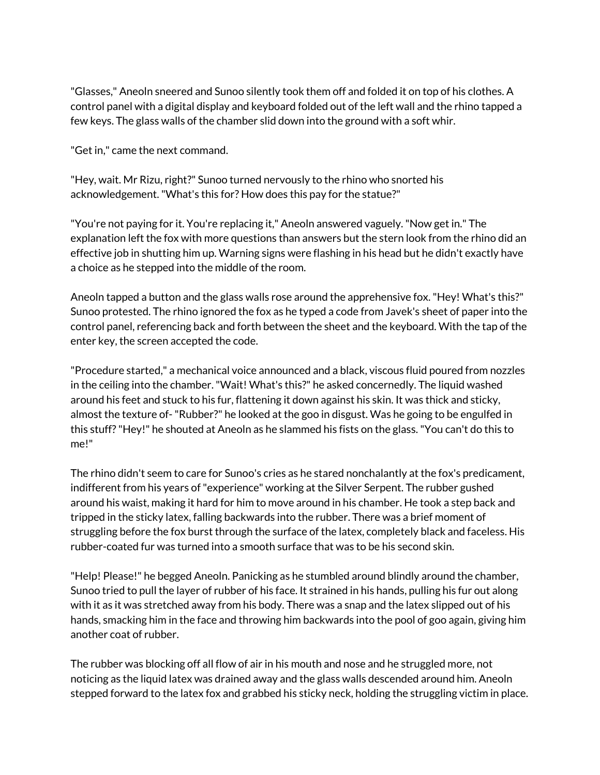"Glasses," Aneoln sneered and Sunoo silently took them off and folded it on top of his clothes. A control panel with a digital display and keyboard folded out of the left wall and the rhino tapped a few keys. The glass walls of the chamber slid down into the ground with a soft whir.

"Get in," came the next command.

"Hey, wait. Mr Rizu, right?" Sunoo turned nervously to the rhino who snorted his acknowledgement."What's this for? How does this pay for the statue?"

"You're not paying for it. You're replacing it," Aneoln answered vaguely."Now get in." The explanation left the fox with more questions than answers but the stern look from the rhino did an effective job in shutting him up. Warning signs were flashing in his head but he didn't exactly have a choice as he stepped into the middle of the room.

Aneoln tapped a button and the glass walls rose around the apprehensive fox."Hey! What's this?" Sunoo protested. The rhino ignored the fox as he typed a code from Javek's sheet of paper into the control panel, referencing back and forth between the sheet and the keyboard. With the tap of the enter key, the screen accepted the code.

"Procedure started," a mechanical voice announced and a black, viscous fluid poured from nozzles in the ceiling into the chamber."Wait! What's this?" he asked concernedly. The liquid washed around his feet and stuck to his fur, flattening it down against his skin. It was thick and sticky, almost the texture of-"Rubber?" he looked at the goo in disgust. Was he going to be engulfed in this stuff?"Hey!" he shouted at Aneoln as he slammed his fists on the glass."You can't do this to me!"

The rhino didn't seem to care for Sunoo's cries as he stared nonchalantly at the fox's predicament, indifferent from his years of"experience" working at the Silver Serpent. The rubber gushed around his waist, making it hard for him to move around in his chamber. He took a step back and tripped in the sticky latex, falling backwards into the rubber. There was a brief moment of struggling before the fox burst through the surface of the latex, completely black and faceless. His rubber-coated fur was turned into a smooth surface that was to be his second skin.

"Help! Please!" he begged Aneoln. Panicking as he stumbled around blindly around the chamber, Sunoo tried to pull the layer of rubber of his face. It strained in his hands, pulling his fur out along with it as it was stretched away from his body. There was a snap and the latex slipped out of his hands, smacking him in the face and throwing him backwards into the pool of goo again, giving him another coat of rubber.

The rubber was blocking off all flow of air in his mouth and nose and he struggled more, not noticing as the liquid latex was drained away and the glass walls descended around him. Aneoln stepped forward to the latex fox and grabbed his sticky neck, holding the struggling victim in place.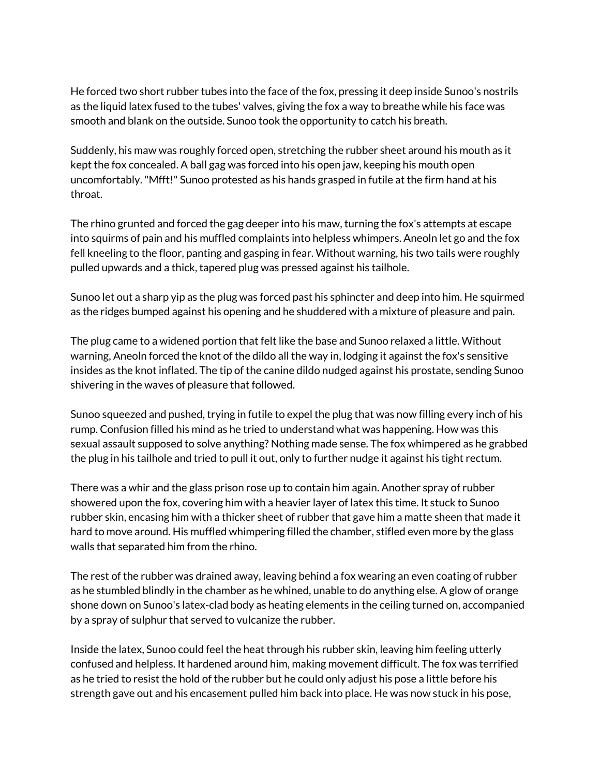He forced two short rubber tubes into the face of the fox, pressing it deep inside Sunoo's nostrils as the liquid latex fused to the tubes' valves, giving the fox a way to breathe while his face was smooth and blank on the outside. Sunoo took the opportunity to catch his breath.

Suddenly, his maw was roughly forced open, stretching the rubber sheet around his mouth as it kept the fox concealed. A ball gag was forced into his open jaw, keeping his mouth open uncomfortably."Mfft!" Sunoo protested as his hands grasped in futile at the firm hand at his throat.

The rhino grunted and forced the gag deeper into his maw, turning the fox's attempts at escape into squirms of pain and his muffled complaints into helpless whimpers. Aneoln let go and the fox fell kneeling to the floor, panting and gasping in fear. Without warning, his two tails were roughly pulled upwards and a thick, tapered plug was pressed against his tailhole.

Sunoo let out a sharp yip as the plug was forced past his sphincter and deep into him. He squirmed as the ridges bumped against his opening and he shuddered with a mixture of pleasure and pain.

The plug came to a widened portion that felt like the base and Sunoo relaxed a little. Without warning, Aneoln forced the knot of the dildo all the way in, lodging it against the fox's sensitive insides as the knot inflated. The tip of the canine dildo nudged against his prostate, sending Sunoo shivering in the waves of pleasure that followed.

Sunoo squeezed and pushed, trying in futile to expel the plug that was now filling every inch of his rump. Confusion filled his mind as he tried to understand what was happening. How was this sexual assault supposed to solve anything? Nothing made sense. The fox whimpered as he grabbed the plug in his tailhole and tried to pull it out, only to further nudge it against his tight rectum.

There was a whir and the glass prison rose up to contain him again. Another spray of rubber showered upon the fox, covering him with a heavier layer of latex this time. It stuck to Sunoo rubber skin, encasing him with a thicker sheet of rubber that gave him a matte sheen that made it hard to move around. His muffled whimpering filled the chamber, stifled even more by the glass walls that separated him from the rhino.

The rest of the rubber was drained away, leaving behind a fox wearing an even coating of rubber as he stumbled blindly in the chamber as he whined, unable to do anything else. A glow of orange shone down on Sunoo's latex-clad body as heating elements in the ceiling turned on, accompanied by a spray of sulphur that served to vulcanize the rubber.

Inside the latex, Sunoo could feel the heat through his rubber skin, leaving him feeling utterly confused and helpless. It hardened around him, making movement difficult. The fox was terrified as he tried to resist the hold of the rubber but he could only adjust his pose a little before his strength gave out and his encasement pulled him back into place. He was now stuck in his pose,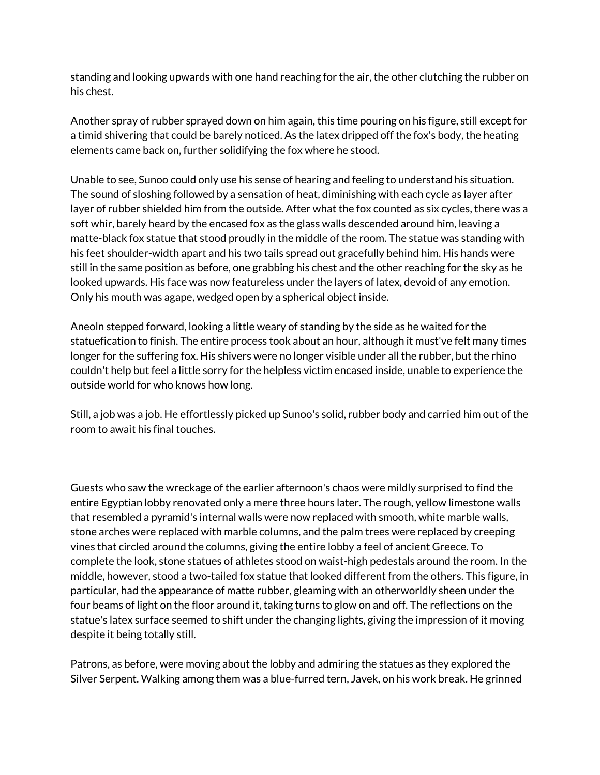standing and looking upwards with one hand reaching for the air, the other clutching the rubber on his chest.

Another spray of rubber sprayed down on him again, this time pouring on his figure, still except for a timid shivering that could be barely noticed. As the latex dripped off the fox's body, the heating elements came back on, further solidifying the fox where he stood.

Unable to see, Sunoo could only use his sense of hearing and feeling to understand his situation. The sound of sloshing followed by a sensation of heat, diminishing with each cycle as layer after layer of rubber shielded him from the outside. After what the fox counted as six cycles, there was a soft whir, barely heard by the encased fox as the glass walls descended around him, leaving a matte-black fox statue that stood proudly in the middle of the room. The statue was standing with his feet shoulder-width apart and his two tails spread out gracefully behind him. His hands were still in the same position as before, one grabbing his chest and the other reaching for the sky as he looked upwards. His face was now featureless under the layers of latex, devoid of any emotion. Only his mouth was agape, wedged open by a spherical object inside.

Aneoln stepped forward, looking a little weary of standing by the side as he waited for the statuefication to finish. The entire process took about an hour, although it must've felt many times longer for the suffering fox. His shivers were no longer visible under all the rubber, but the rhino couldn't help but feel a little sorry for the helpless victim encased inside, unable to experience the outside world for who knows how long.

Still, a job was a job. He effortlessly picked up Sunoo's solid, rubber body and carried him out of the room to await his final touches.

Guests who saw the wreckage of the earlier afternoon's chaos were mildly surprised to find the entire Egyptian lobby renovated only a mere three hours later. The rough, yellow limestone walls that resembled a pyramid's internal walls were now replaced with smooth, white marble walls, stone arches were replaced with marble columns, and the palm trees were replaced by creeping vines that circled around the columns, giving the entire lobby a feel of ancient Greece. To complete the look, stone statues of athletes stood on waist-high pedestals around the room. In the middle, however, stood a two-tailed fox statue that looked different from the others. This figure, in particular, had the appearance of matte rubber, gleaming with an otherworldly sheen under the four beams of light on the floor around it, taking turns to glow on and off. The reflections on the statue's latex surface seemed to shift under the changing lights, giving the impression of it moving despite it being totally still.

Patrons, as before, were moving about the lobby and admiring the statues as they explored the Silver Serpent. Walking among them was a blue-furred tern, Javek, on his work break. He grinned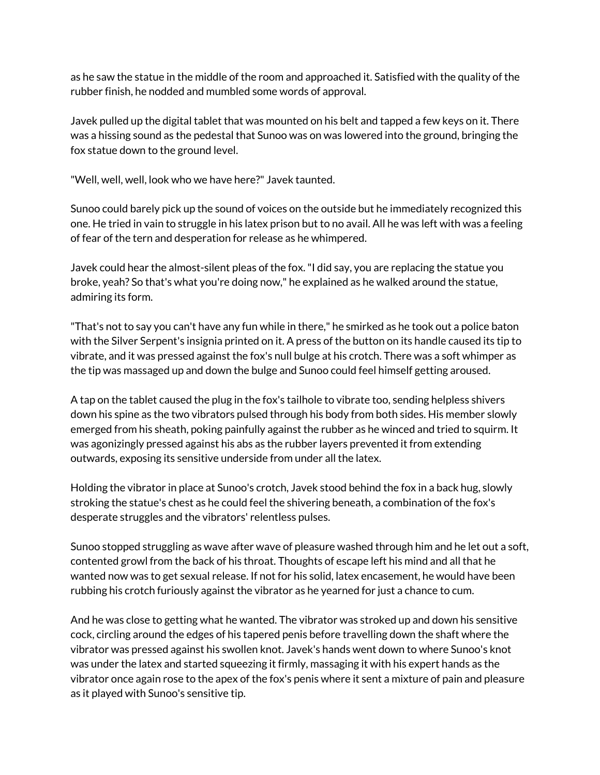as he saw the statue in the middle of the room and approached it. Satisfied with the quality of the rubber finish, he nodded and mumbled some words of approval.

Javek pulled up the digital tablet that was mounted on his belt and tapped a few keys on it. There was a hissing sound as the pedestal that Sunoo was on was lowered into the ground, bringing the fox statue down to the ground level.

"Well, well, well, look who we have here?" Javek taunted.

Sunoo could barely pick up the sound of voices on the outside but he immediately recognized this one. He tried in vain to struggle in his latex prison but to no avail. All he was left with was a feeling of fear of the tern and desperation for release as he whimpered.

Javek could hear the almost-silent pleas of the fox."I did say, you are replacing the statue you broke, yeah? So that's what you're doing now," he explained as he walked around the statue, admiring its form.

"That's not to say you can't have any fun while in there," he smirked as he took out a police baton with the Silver Serpent's insignia printed on it. A press of the button on its handle caused its tip to vibrate, and it was pressed against the fox's null bulge at his crotch. There was a soft whimper as the tip was massaged up and down the bulge and Sunoo could feel himself getting aroused.

A tap on the tablet caused the plug in the fox's tailhole to vibrate too, sending helpless shivers down his spine as the two vibrators pulsed through his body from both sides. His member slowly emerged from his sheath, poking painfully against the rubber as he winced and tried to squirm. It was agonizingly pressed against his abs as the rubber layers prevented it from extending outwards, exposing its sensitive underside from under all the latex.

Holding the vibrator in place at Sunoo's crotch, Javek stood behind the fox in a back hug, slowly stroking the statue's chest as he could feel the shivering beneath, a combination of the fox's desperate struggles and the vibrators' relentless pulses.

Sunoo stopped struggling as wave after wave of pleasure washed through him and he let out a soft, contented growl from the back of his throat. Thoughts of escape left his mind and all that he wanted now was to get sexual release. If not for his solid, latex encasement, he would have been rubbing his crotch furiously against the vibrator as he yearned for just a chance to cum.

And he was close to getting what he wanted. The vibrator was stroked up and down his sensitive cock, circling around the edges of his tapered penis before travelling down the shaft where the vibrator was pressed against his swollen knot. Javek's hands went down to where Sunoo's knot was under the latex and started squeezing it firmly, massaging it with his expert hands as the vibrator once again rose to the apex of the fox's penis where it sent a mixture of pain and pleasure as it played with Sunoo's sensitive tip.